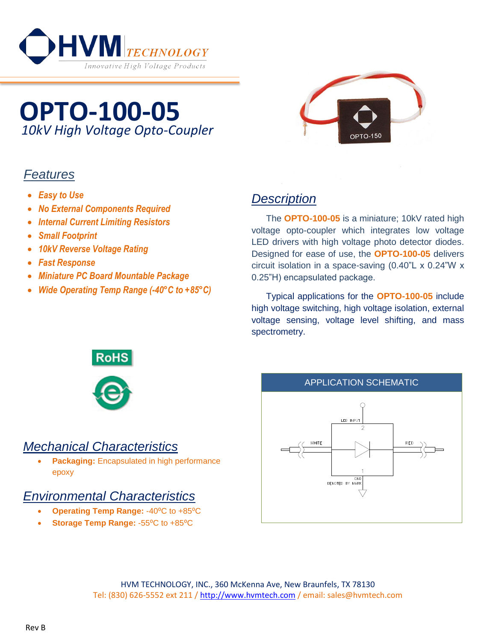

# **OPTO-100-05** *10kV High Voltage Opto-Coupler*

# *Features*

- *Easy to Use*
- *No External Components Required*
- *Internal Current Limiting Resistors*
- *Small Footprint*
- *10kV Reverse Voltage Rating*
- *Fast Response*
- *Miniature PC Board Mountable Package*
- *Wide Operating Temp Range (-40°C to +85°C)*



# *Description*

The **OPTO-100-05** is a miniature; 10kV rated high voltage opto-coupler which integrates low voltage LED drivers with high voltage photo detector diodes. Designed for ease of use, the **OPTO-100-05** delivers circuit isolation in a space-saving (0.40"L x 0.24"W x 0.25"H) encapsulated package.

Typical applications for the **OPTO-100-05** include high voltage switching, high voltage isolation, external voltage sensing, voltage level shifting, and mass spectrometry.



### *Mechanical Characteristics*

 **Packaging:** Encapsulated in high performance epoxy

### *Environmental Characteristics*

- **Operating Temp Range: -40°C to +85°C**
- **Storage Temp Range: -55<sup>o</sup>C to +85<sup>o</sup>C**



HVM TECHNOLOGY, INC., 360 McKenna Ave, New Braunfels, TX 78130 Tel: (830) 626-5552 ext 211 / [http://www.hvmtech.com](http://www.hvmtech.com/) / email: sales@hvmtech.com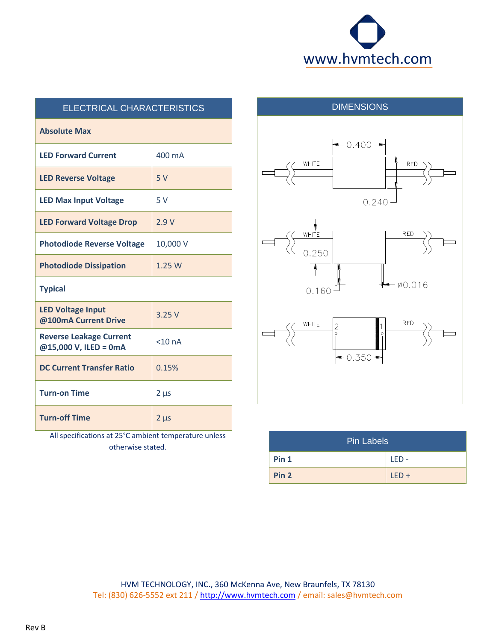

| ELECTRICAL CHARACTERISTICS                              |             |
|---------------------------------------------------------|-------------|
| <b>Absolute Max</b>                                     |             |
| <b>LED Forward Current</b>                              | 400 mA      |
| <b>LED Reverse Voltage</b>                              | 5V          |
| <b>LED Max Input Voltage</b>                            | 5V          |
| <b>LED Forward Voltage Drop</b>                         | 2.9V        |
| <b>Photodiode Reverse Voltage</b>                       | 10,000 V    |
| <b>Photodiode Dissipation</b>                           | 1.25W       |
| <b>Typical</b>                                          |             |
| <b>LED Voltage Input</b><br>@100mA Current Drive        | 3.25V       |
| <b>Reverse Leakage Current</b><br>@15,000 V, ILED = 0mA | $<$ 10 $nA$ |
| <b>DC Current Transfer Ratio</b>                        | 0.15%       |
| <b>Turn-on Time</b>                                     | $2 \mu s$   |
| <b>Turn-off Time</b>                                    | $2 \mu s$   |

All specifications at 25°C ambient temperature unless otherwise stated.



| <b>Pin Labels</b> |         |
|-------------------|---------|
| Pin <sub>1</sub>  | $IFD -$ |
| Pin <sub>2</sub>  | $LED +$ |

HVM TECHNOLOGY, INC., 360 McKenna Ave, New Braunfels, TX 78130 Tel: (830) 626-5552 ext 211 / [http://www.hvmtech.com](http://www.hvmtech.com/) / email: sales@hvmtech.com